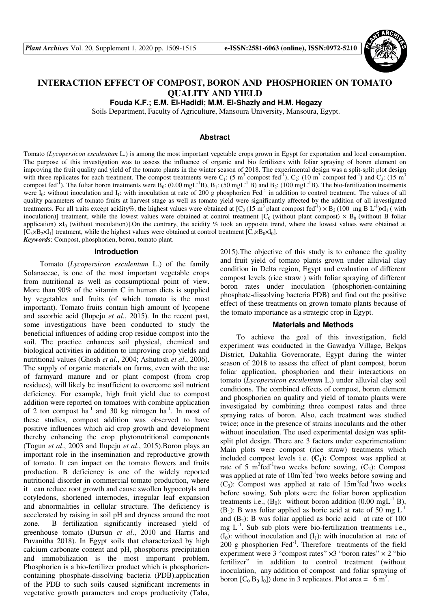

# **INTERACTION EFFECT OF COMPOST, BORON AND PHOSPHORIEN ON TOMATO QUALITY AND YIELD**

**Fouda K.F.; E.M. El-Hadidi; M.M. El-Shazly and H.M. Hegazy** 

Soils Department, Faculty of Agriculture, Mansoura University, Mansoura, Egypt.

### **Abstract**

Tomato (*Lycopersicon esculentum* L.) is among the most important vegetable crops grown in Egypt for exportation and local consumption. The purpose of this investigation was to assess the influence of organic and bio fertilizers with foliar spraying of boron element on improving the fruit quality and yield of the tomato plants in the winter season of 2018. The experimental design was a split-split plot design with three replicates for each treatment. The compost treatments were  $C_1$ : (5 m<sup>3</sup> compost fed<sup>-1</sup>),  $C_2$ : (10 m<sup>3</sup> compost fed<sup>-1</sup>) and  $C_3$ : (15 m<sup>3</sup>) compost fed<sup>-1</sup>). The foliar boron treatments were B<sub>0</sub>: (0.00 mgL<sup>-1</sup>B), B<sub>1</sub>: (50 mgL<sup>-1</sup>B) and B<sub>2</sub>: (100 mgL<sup>-1</sup>B). The bio-fertilization treatments were  $I_0$ : without inoculation and  $I_1$ : with inoculation at rate of 200 g phosphorien Fed<sup>-1</sup> in addition to control treatment. The values of all quality parameters of tomato fruits at harvest stage as well as tomato yield were significantly affected by the addition of all investigated treatments. For all traits except acidity%, the highest values were obtained at  $[C_3 (15 \text{ m}^3 \text{ plant compost fed}^{-1}) \times B_2 (100 \text{ mg } B L^{-1}) \times I_1$  (with inoculation)] treatment, while the lowest values were obtained at control treatment  $[C_0$  (without plant compost)  $\times$  B<sub>0</sub> (without B foliar application)  $\times I_0$  (without inoculation)].On the contrary, the acidity % took an opposite trend, where the lowest values were obtained at  $[C_3 \times B_2 \times I_1]$  treatment, while the highest values were obtained at control treatment  $[C_0 \times B_0 \times I_0]$ . *Keywords*: Compost, phosphorien, boron, tomato plant.

**Introduction** 

Tomato (*Lycopersicon esculentum* L.) of the family Solanaceae, is one of the most important vegetable crops from nutritional as well as consumptional point of view. More than 90% of the vitamin C in human diets is supplied by vegetables and fruits (of which tomato is the most important). Tomato fruits contain high amount of lycopene and ascorbic acid (Ilupeju *et al*., 2015). In the recent past, some investigations have been conducted to study the beneficial influences of adding crop residue compost into the soil. The practice enhances soil physical, chemical and biological activities in addition to improving crop yields and nutritional values (Ghosh *et al*., 2004; Ashutosh *et al*., 2006). The supply of organic materials on farms, even with the use of farmyard manure and or plant compost (from crop residues), will likely be insufficient to overcome soil nutrient deficiency. For example, high fruit yield due to compost addition were reported on tomatoes with combine application of 2 ton compost ha<sup>-1</sup> and 30 kg nitrogen ha<sup>-1</sup>. In most of these studies, compost addition was observed to have positive influences which aid crop growth and development thereby enhancing the crop phytonutritional components (Togun *et al*., 2003 and Ilupeju *et al*., 2015).Boron plays an important role in the insemination and reproductive growth of tomato. It can impact on the tomato flowers and fruits production. B deficiency is one of the widely reported nutritional disorder in commercial tomato production, where it can reduce root growth and cause swollen hypocotyls and cotyledons, shortened internodes, irregular leaf expansion and abnormalities in cellular structure. The deficiency is accelerated by raising in soil pH and dryness around the root zone. B fertilization significantly increased yield of greenhouse tomato (Dursun *et al*., 2010 and Harris and Puvanitha 2018). In Egypt soils that characterized by high calcium carbonate content and pH, phosphorus precipitation and immobilization is the most important problem. Phosphorien is a bio-fertilizer product which is phosphoriencontaining phosphate-dissolving bacteria (PDB).application of the PDB to such soils caused significant increments in vegetative growth parameters and crops productivity (Taha,

2015).The objective of this study is to enhance the quality and fruit yield of tomato plants grown under alluvial clay condition in Delta region, Egypt and evaluation of different compost levels (rice straw ) with foliar spraying of different boron rates under inoculation (phosphorien-containing phosphate-dissolving bacteria PDB) and find out the positive effect of these treatments on grown tomato plants because of the tomato importance as a strategic crop in Egypt.

#### **Materials and Methods**

To achieve the goal of this investigation, field experiment was conducted in the Gawadya Village, Belqas District, Dakahlia Governorate, Egypt during the winter season of 2018 to assess the effect of plant compost, boron foliar application, phosphorien and their interactions on tomato (*Lycopersicon esculentum* L.) under alluvial clay soil conditions. The combined effects of compost, boron element and phosphorien on quality and yield of tomato plants were investigated by combining three compost rates and three spraying rates of boron. Also, each treatment was studied twice; once in the presence of strains inoculants and the other without inoculation. The used experimental design was splitsplit plot design. There are 3 factors under experimentation: Main plots were compost (rice straw) treatments which included compost levels i.e.  $(C_1)$ : Compost was applied at rate of 5 m<sup>3</sup>fed<sup>-1</sup>two weeks before sowing,  $(C_2)$ : Compost was applied at rate of 10m<sup>3</sup>fed<sup>-1</sup>two weeks before sowing and  $(C_3)$ : Compost was applied at rate of  $15m^3$ fed<sup>-1</sup>two weeks before sowing. Sub plots were the foliar boron application treatments i.e.,  $(B_0)$ : without boron addition  $(0.00 \text{ mgL}^{-1} B)$ ,  $(B_1)$ : B was foliar applied as boric acid at rate of 50 mg L<sup>-1</sup> and  $(B_2)$ : B was foliar applied as boric acid at rate of 100 mg  $L^{-1}$ . Sub sub plots were bio-fertilization treatments i.e.,  $(I<sub>0</sub>)$ : without inoculation and  $(I<sub>1</sub>)$ : with inoculation at rate of 200 g phosphorien Fed-1. Therefore treatments of the field experiment were 3 "compost rates"  $\times$ 3 "boron rates"  $\times$  2 "bio fertilizer" in addition to control treatment (without inoculation, any addition of compost and foliar spraying of boron  $[C_0 B_0 I_0]$  done in 3 replicates. Plot area = 6 m<sup>2</sup>.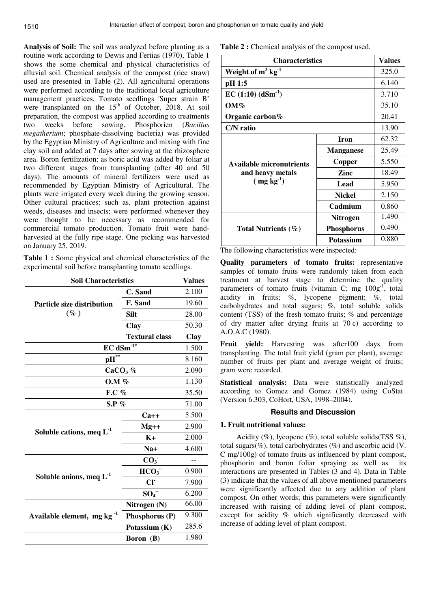**Analysis of Soil:** The soil was analyzed before planting as a routine work according to Dewis and Fertias (1970), Table 1 shows the some chemical and physical characteristics of alluvial soil. Chemical analysis of the compost (rice straw) used are presented in Table (2). All agricultural operations were performed according to the traditional local agriculture management practices. Tomato seedlings 'Super strain B' were transplanted on the  $15<sup>th</sup>$  of October, 2018. At soil preparation, the compost was applied according to treatments two weeks before sowing. Phosphorien (*Bacillus megatherium*; phosphate-dissolving bacteria) was provided by the Egyptian Ministry of Agriculture and mixing with fine clay soil and added at 7 days after sowing at the rhizosphere area. Boron fertilization; as boric acid was added by foliar at two different stages from transplanting (after 40 and 50 days). The amounts of mineral fertilizers were used as recommended by Egyptian Ministry of Agricultural. The plants were irrigated every week during the growing season. Other cultural practices; such as, plant protection against weeds, diseases and insects; were performed whenever they were thought to be necessary as recommended for commercial tomato production. Tomato fruit were handharvested at the fully ripe stage. One picking was harvested on January 25, 2019.

**Table 1 :** Some physical and chemical characteristics of the experimental soil before transplanting tomato seedlings.

| <b>Soil Characteristics</b>                 | <b>Values</b>         |             |
|---------------------------------------------|-----------------------|-------------|
|                                             | C. Sand               | 2.100       |
| <b>Particle size distribution</b><br>$(\%)$ | F. Sand               | 19.60       |
|                                             | <b>Silt</b>           | 28.00       |
|                                             | Clay                  | 50.30       |
|                                             | <b>Textural class</b> | <b>Clay</b> |
| $EC$ dSm <sup>-1*</sup>                     |                       | 1.500       |
| $\mathbf{pH}^{**}$                          |                       | 8.160       |
| $CaCO3$ %                                   |                       | 2.090       |
| <b>O.M</b> %                                |                       | 1.130       |
| F.C %                                       |                       | 35.50       |
| $S.P.$ %                                    |                       | 71.00       |
|                                             | $Ca++$                | 5.500       |
|                                             | $Mg++$                | 2.900       |
| Soluble cations, meq $L^{-1}$               | $K+$                  | 2.000       |
|                                             | $Na+$                 | 4.600       |
|                                             | CO <sub>3</sub>       |             |
|                                             | HCO <sub>3</sub>      | 0.900       |
| Soluble anions, meq $L^{-1}$                | CI                    | 7.900       |
|                                             | $SO_4^-$              | 6.200       |
|                                             | Nitrogen (N)          | 66.00       |
| Available element, mg $kg^{-1}$             | Phosphorus (P)        | 9.300       |
|                                             | Potassium (K)         | 285.6       |
|                                             | Boron (B)             | 1.980       |

Table 2 : Chemical analysis of the compost used.

| <b>Characteristics</b>           | <b>Values</b>     |       |
|----------------------------------|-------------------|-------|
| Weight of $m^3$ kg <sup>-1</sup> |                   | 325.0 |
| pH 1:5                           |                   | 6.140 |
| $EC(1:10)$ $(dSm^{-1})$          |                   | 3.710 |
| $OM\%$                           |                   | 35.10 |
| Organic carbon%                  |                   | 20.41 |
| C/N ratio                        |                   | 13.90 |
|                                  | <b>Iron</b>       | 62.32 |
|                                  | <b>Manganese</b>  | 25.49 |
| Available micronutrients         | Copper            | 5.550 |
| and heavy metals                 | Zinc              | 18.49 |
| $(mg kg-1)$                      | Lead              | 5.950 |
|                                  | <b>Nickel</b>     | 2.150 |
|                                  | Cadmium           | 0.860 |
|                                  | Nitrogen          | 1.490 |
| Total Nutrients $(\% )$          | <b>Phosphorus</b> | 0.490 |
|                                  | <b>Potassium</b>  | 0.880 |

The following characteristics were inspected:

**Quality parameters of tomato fruits:** representative samples of tomato fruits were randomly taken from each treatment at harvest stage to determine the quality parameters of tomato fruits (vitamin C; mg  $100g^{-1}$ , total acidity in fruits; %, lycopene pigment; %, total carbohydrates and total sugars; %, total soluble solids content (TSS) of the fresh tomato fruits; % and percentage of dry matter after drying fruits at  $70^{\circ}$ c) according to A.O.A.C (1980).

**Fruit yield:** Harvesting was after100 days from transplanting. The total fruit yield (gram per plant), average number of fruits per plant and average weight of fruits; gram were recorded.

**Statistical analysis:** Data were statistically analyzed according to Gomez and Gomez (1984) using CoStat (Version 6.303, CoHort, USA, 1998–2004).

# **Results and Discussion**

### **1. Fruit nutritional values:**

Acidity  $(\%)$ , lycopene  $(\%)$ , total soluble solids(TSS  $\%$ ), total sugars(%), total carbohydrates (%) and ascorbic acid ( $V$ . C mg/100g) of tomato fruits as influenced by plant compost, phosphorin and boron foliar spraying as well as its interactions are presented in Tables (3 and 4). Data in Table (3) indicate that the values of all above mentioned parameters were significantly affected due to any addition of plant compost. On other words; this parameters were significantly increased with raising of adding level of plant compost, except for acidity % which significantly decreased with increase of adding level of plant compost.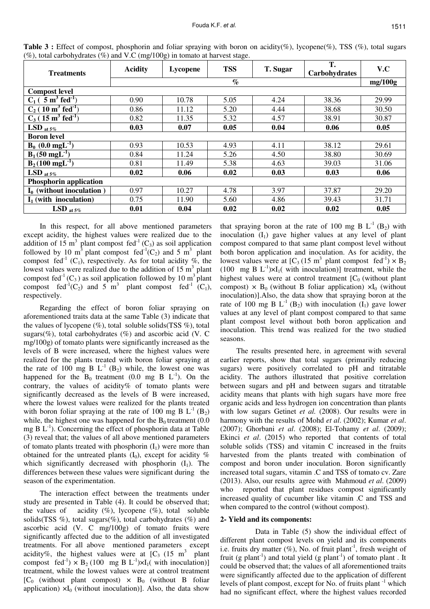| <b>Treatments</b>                             | <b>Acidity</b>  | Lycopene | <b>TSS</b> | T. Sugar | T.<br>Carbohydrates | V.C   |  |
|-----------------------------------------------|-----------------|----------|------------|----------|---------------------|-------|--|
|                                               | $\mathcal{O}_0$ |          |            |          |                     |       |  |
| <b>Compost level</b>                          |                 |          |            |          |                     |       |  |
| $C_1$ ( 5 m <sup>3</sup> fed <sup>-1</sup> )  | 0.90            | 10.78    | 5.05       | 4.24     | 38.36               | 29.99 |  |
| $C_2$ ( 10 m <sup>3</sup> fed <sup>-1</sup> ) | 0.86            | 11.12    | 5.20       | 4.44     | 38.68               | 30.50 |  |
| $C_3$ (15 m <sup>3</sup> fed <sup>-1</sup> )  | 0.82            | 11.35    | 5.32       | 4.57     | 38.91               | 30.87 |  |
| LSD at $5\%$                                  | 0.03            | 0.07     | 0.05       | 0.04     | 0.06                | 0.05  |  |
| <b>Boron</b> level                            |                 |          |            |          |                     |       |  |
| $B_0$ (0.0 mgL <sup>-1</sup> )                | 0.93            | 10.53    | 4.93       | 4.11     | 38.12               | 29.61 |  |
| $B_1$ (50 mgL <sup>-1</sup> )                 | 0.84            | 11.24    | 5.26       | 4.50     | 38.80               | 30.69 |  |
| $B_2(100 \text{ mgL}^{-1})$                   | 0.81            | 11.49    | 5.38       | 4.63     | 39.03               | 31.06 |  |
| LSD at $5\%$                                  | 0.02            | 0.06     | 0.02       | 0.03     | 0.03                | 0.06  |  |
| <b>Phosphorin application</b>                 |                 |          |            |          |                     |       |  |
| $I_0$ (without inoculation)                   | 0.97            | 10.27    | 4.78       | 3.97     | 37.87               | 29.20 |  |
| $I_1$ (with inoculation)                      | 0.75            | 11.90    | 5.60       | 4.86     | 39.43               | 31.71 |  |
| LSD at $5\%$                                  | 0.01            | 0.04     | 0.02       | 0.02     | 0.02                | 0.05  |  |

**Table 3 :** Effect of compost, phosphorin and foliar spraying with boron on acidity(%), lycopene(%), TSS (%), total sugars (%), total carbohydrates (%) and V.C (mg/100g) in tomato at harvest stage.

In this respect, for all above mentioned parameters except acidity, the highest values were realized due to the addition of 15 m<sup>3</sup> plant compost fed<sup>-1</sup> (C<sub>3</sub>) as soil application followed by 10 m<sup>3</sup> plant compost fed<sup>-1</sup>(C<sub>2</sub>) and 5 m<sup>3</sup> plant compost fed<sup>-1</sup> (C<sub>1</sub>), respectively. As for total acidity %, the lowest values were realized due to the addition of  $15 \text{ m}^3$  plant compost fed<sup>-1</sup> (C<sub>3</sub>) as soil application followed by 10 m<sup>3</sup> plant compost fed<sup>-1</sup>(C<sub>2</sub>) and 5 m<sup>3</sup> plant compost fed<sup>-1</sup> (C<sub>1</sub>), respectively.

Regarding the effect of boron foliar spraying on aforementioned traits data at the same Table (3) indicate that the values of lycopene  $(\%)$ , total soluble solids(TSS  $\%$ ), total sugars(%), total carbohydrates (%) and ascorbic acid (V. C mg/100g) of tomato plants were significantly increased as the levels of B were increased, where the highest values were realized for the plants treated with boron foliar spraying at the rate of 100 mg B  $L^{-1}$  (B<sub>2</sub>) while, the lowest one was happened for the  $B_0$  treatment (0.0 mg B  $L^{-1}$ ). On the contrary, the values of acidity% of tomato plants were significantly decreased as the levels of B were increased, where the lowest values were realized for the plants treated with boron foliar spraying at the rate of 100 mg B  $L^{-1}$  (B<sub>2</sub>) while, the highest one was happened for the  $B_0$  treatment (0.0) mg B  $L^{-1}$ ). Concerning the effect of phosphorin data at Table (3) reveal that; the values of all above mentioned parameters of tomato plants treated with phosphorin  $(I_1)$  were more than obtained for the untreated plants  $(I_0)$ , except for acidity % which significantly decreased with phosphorin  $(I_1)$ . The differences between these values were significant during the season of the experimentation.

The interaction effect between the treatments under study are presented in Table (4). It could be observed that; the values of acidity  $(\%)$ , lycopene  $(\%)$ , total soluble solids(TSS  $\%$ ), total sugars( $\%$ ), total carbohydrates ( $\%$ ) and ascorbic acid (V. C mg/100g) of tomato fruits were significantly affected due to the addition of all investigated treatments. For all above mentioned parameters except acidity%, the highest values were at  $[C_3 \ (15 \ m^3 \)$  plant compost fed<sup>-1</sup>)  $\times$  B<sub>2</sub> (100 mg B L<sup>-1</sup>) $\times$ I<sub>1</sub>( with inoculation)] treatment, while the lowest values were at control treatment  $[C_0$  (without plant compost)  $\times$  B<sub>0</sub> (without B foliar application)  $\times I_0$  (without inoculation)]. Also, the data show

that spraying boron at the rate of 100 mg B  $L^{-1}$  (B<sub>2</sub>) with inoculation  $(I_1)$  gave higher values at any level of plant compost compared to that same plant compost level without both boron application and inoculation. As for acidity, the lowest values were at  $[C_3 (15 \text{ m}^3 \text{ plant compost } \text{fed}^{-1}) \times B_2]$ (100 mg B  $L^{-1}$ )×I<sub>1</sub>( with inoculation)] treatment, while the highest values were at control treatment  $[C_0$  (without plant compost)  $\times$  B<sub>0</sub> (without B foliar application)  $\times I_0$  (without inoculation)].Also, the data show that spraying boron at the rate of 100 mg B  $L^{-1}$  (B<sub>2</sub>) with inoculation (I<sub>1</sub>) gave lower values at any level of plant compost compared to that same plant compost level without both boron application and inoculation. This trend was realized for the two studied seasons.

The results presented here, in agreement with several earlier reports, show that total sugars (primarily reducing sugars) were positively correlated to pH and titratable acidity. The authors illustrated that positive correlation between sugars and pH and between sugars and titratable acidity means that plants with high sugars have more free organic acids and less hydrogen ion concentration than plants with low sugars Getinet *et al.* (2008). Our results were in harmony with the results of Mohd *et al*. (2002); Kumar *et al*. (2007); Ghorbani *et al*. (2008); El-Tohamy *et al*. (2009); Ekinci *et al*. (2015) who reported that contents of total soluble solids (TSS) and vitamin C increased in the fruits harvested from the plants treated with combination of compost and boron under inoculation. Boron significantly increased total sugars, vitamin .C and TSS of tomato cv. Zare (2013). Also, our results agree with Mahmoud *et al*. (2009) who reported that plant residues compost significantly increased quality of cucumber like vitamin .C and TSS and when compared to the control (without compost).

#### **2- Yield and its components:**

 Data in Table (5) show the individual effect of different plant compost levels on yield and its components i.e. fruits dry matter  $(\%)$ , No. of fruit plant<sup>-1</sup>, fresh weight of fruit (g plant<sup>-1</sup>) and total yield (g plant<sup>-1</sup>) of tomato plant. It could be observed that; the values of all aforementioned traits were significantly affected due to the application of different levels of plant compost, except for No. of fruits plant  $^{-1}$  which had no significant effect, where the highest values recorded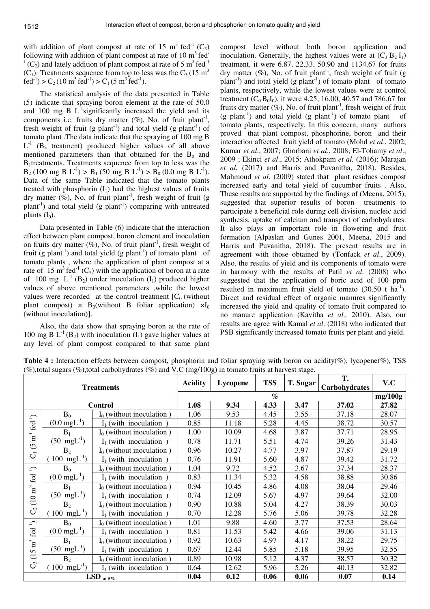with addition of plant compost at rate of 15 m<sup>3</sup> fed<sup>-1</sup> (C<sub>3</sub>) following with addition of plant compost at rate of  $10 \text{ m}^3$  fed<sup>-</sup>  $1^1$ (C<sub>2</sub>) and lately addition of plant compost at rate of 5 m<sup>3</sup> fed<sup>-1</sup>  $(C_1)$ . Treatments sequence from top to less was the  $C_3$  (15 m<sup>3</sup>) fed<sup>-1</sup>) > C<sub>2</sub> (10 m<sup>3</sup> fed<sup>-1</sup>) > C<sub>1</sub> (5 m<sup>3</sup> fed<sup>-1</sup>).

The statistical analysis of the data presented in Table (5) indicate that spraying boron element at the rate of 50.0 and 100 mg B  $L^{-1}$ significantly increased the yield and its components i.e. fruits dry matter  $(\%)$ , No. of fruit plant<sup>-1</sup>, fresh weight of fruit (g plant<sup>-1</sup>) and total yield (g plant<sup>-1</sup>) of tomato plant .The data indicate that the spraying of 100 mg B  $L^{-1}$  (B<sub>2</sub> treatment) produced higher values of all above mentioned parameters than that obtained for the  $B_0$  and B1treatments. Treatments sequence from top to less was the  $B_2$  (100 mg B L<sup>-1</sup>) > B<sub>1</sub> (50 mg B L<sup>-1</sup>) > B<sub>0</sub> (0.0 mg B L<sup>-1</sup>). Data of the same Table indicated that the tomato plants treated with phosphorin  $(I_1)$  had the highest values of fruits dry matter  $(\%)$ , No. of fruit plant<sup>-1</sup>, fresh weight of fruit (g)  $planct<sup>-1</sup>$ ) and total yield (g plant<sup>-1</sup>) comparing with untreated plants  $(I_0)$ .

Data presented in Table (6) indicate that the interaction effect between plant compost, boron element and inoculation on fruits dry matter  $(\%)$ , No. of fruit plant<sup>-1</sup>, fresh weight of fruit (g plant<sup>-1</sup>) and total yield (g plant<sup>-1</sup>) of tomato plant of tomato plants , where the application of plant compost at a rate of  $15 \text{ m}^3$  fed<sup>-1</sup> (C<sub>3</sub>) with the application of boron at a rate of 100 mg  $L^{-1}$  (B<sub>2</sub>) under inoculation (I<sub>1</sub>) produced higher values of above mentioned parameters ,while the lowest values were recorded at the control treatment  $[C_0$  (without plant compost)  $\times$  B<sub>0</sub>(without B foliar application)  $\times I_0$ (without inoculation)].

Also, the data show that spraying boron at the rate of 100 mg B  $L^{-1}$  (B<sub>2</sub>) with inoculation (I<sub>1</sub>) gave higher values at any level of plant compost compared to that same plant compost level without both boron application and inoculation. Generally, the highest values were at  $(C_3 B_2 I_1)$ treatment, it were 6.87, 22.33, 50.90 and 1134.67 for fruits dry matter (%), No. of fruit plant<sup>-1</sup>, fresh weight of fruit (g plant<sup>-1</sup>) and total yield (g plant<sup>-1</sup>) of tomato plant of tomato plants, respectively, while the lowest values were at control treatment ( $C_0 B_0 I_0$ ), it were 4.25, 16.00, 40.57 and 786.67 for fruits dry matter  $(\%)$ , No. of fruit plant<sup>-1</sup>, fresh weight of fruit  $(g$  plant<sup>-1</sup>) and total yield  $(g$  plant<sup>-1</sup>) of tomato plant of tomato plants, respectively. In this concern, many authors proved that plant compost, phosphorine, boron and their interaction affected fruit yield of tomato (Mohd *et al*., 2002; Kumar *et al*., 2007; Ghorbani *et al*., 2008; El-Tohamy *et al*., 2009 ; Ekinci *et al*., 2015; Athokpam *et al.* (2016); Marajan *et al.* (2017) and Harris and Puvanitha, 2018). Besides, Mahmoud *et al*. (2009) stated that plant residues compost increased early and total yield of cucumber fruits . Also, These results are supported by the findings of (Meena, 2015), suggested that superior results of boron treatments to participate a beneficial role during cell division, nucleic acid synthesis, uptake of calcium and transport of carbohydrates. It also plays an important role in flowering and fruit formation (Alpaslan and Gunes 2001, Meena, 2015 and Harris and Puvanitha, 2018). The present results are in agreement with those obtained by (Tonfack *et al*., 2009). Also, the results of yield and its components of tomato were in harmony with the results of Patil *et al*. (2008) who suggested that the application of boric acid of 100 ppm resulted in maximum fruit yield of tomato  $(30.50 \text{ t} \text{ ha}^{-1})$ . Direct and residual effect of organic manures significantly increased the yield and quality of tomato fruit compared to no manure application (Kavitha *et al.,* 2010). Also, our results are agree with Kamal *et al*. (2018) who indicated that PSB significantly increased tomato fruits per plant and yield.

| <b>Treatments</b>                |                          | <b>Acidity</b>              | Lycopene | <b>TSS</b>      | T. Sugar | Т.<br>Carbohydrates | V.C     |       |
|----------------------------------|--------------------------|-----------------------------|----------|-----------------|----------|---------------------|---------|-------|
|                                  |                          |                             |          | $\mathcal{O}_0$ |          |                     | mg/100g |       |
|                                  |                          | <b>Control</b>              | 1.08     | 9.34            | 4.33     | 3.47                | 37.02   | 27.82 |
|                                  | $B_0$                    | $I_0$ (without inoculation) | 1.06     | 9.53            | 4.45     | 3.55                | 37.18   | 28.07 |
| $fed^{-1}$                       | $(0.0 \text{ mgL}^{-1})$ | $I_1$ (with inoculation)    | 0.85     | 11.18           | 5.28     | 4.45                | 38.72   | 30.57 |
|                                  | $B_1$                    | $I_0$ (without inoculation) | 1.00     | 10.09           | 4.68     | 3.87                | 37.71   | 28.95 |
| $\mathbf{n}^3$<br>$\overline{6}$ | $(50 \text{ mgL}^{-1})$  | $I_1$ (with inoculation)    | 0.78     | 11.71           | 5.51     | 4.74                | 39.26   | 31.43 |
|                                  | B <sub>2</sub>           | $I_0$ (without inoculation) | 0.96     | 10.27           | 4.77     | 3.97                | 37.87   | 29.19 |
| $\overline{C}$                   | 100 mg $L^{-1}$ )        | $I_1$ (with inoculation)    | 0.76     | 11.91           | 5.60     | 4.87                | 39.42   | 31.72 |
|                                  | $B_0$                    | $I_0$ (without inoculation) | 1.04     | 9.72            | 4.52     | 3.67                | 37.34   | 28.37 |
| fed <sup>-1</sup> )              | $(0.0 \text{ mgL}^{-1})$ | $I_1$ (with inoculation)    | 0.83     | 11.34           | 5.32     | 4.58                | 38.88   | 30.86 |
|                                  | $B_1$                    | $I_0$ (without inoculation) | 0.94     | 10.45           | 4.86     | 4.08                | 38.04   | 29.46 |
| $(10\,\mathrm{m}^3$              | $(50 \text{ mgL}^{-1})$  | $I_1$ (with inoculation)    | 0.74     | 12.09           | 5.67     | 4.97                | 39.64   | 32.00 |
|                                  | B <sub>2</sub>           | $I_0$ (without inoculation) | 0.90     | 10.88           | 5.04     | 4.27                | 38.39   | 30.03 |
| $\mathcal{C}$                    | $(100 \text{ mgL}^{-1})$ | $I_1$ (with inoculation)    | 0.70     | 12.28           | 5.76     | 5.06                | 39.78   | 32.28 |
|                                  | $B_0$                    | $I_0$ (without inoculation) | 1.01     | 9.88            | 4.60     | 3.77                | 37.53   | 28.64 |
| fed <sup>-1</sup> )              | $(0.0 \text{ mgL}^{-1})$ | (with inoculation)<br>L.    | 0.81     | 11.53           | 5.42     | 4.66                | 39.06   | 31.13 |
|                                  | $B_1$                    | $I_0$ (without inoculation) | 0.92     | 10.63           | 4.97     | 4.17                | 38.22   | 29.75 |
| $(15\;\mathrm{m}^3$              | $(50 \text{ mgL}^{-1})$  | $I_1$ (with inoculation     | 0.67     | 12.44           | 5.85     | 5.18                | 39.95   | 32.55 |
|                                  | B <sub>2</sub>           | $I_0$ (without inoculation) | 0.89     | 10.98           | 5.12     | 4.37                | 38.57   | 30.32 |
| $\mathcal{C}$                    | $100 \text{ mgL}^{-1}$   | $I_1$ (with inoculation)    | 0.64     | 12.62           | 5.96     | 5.26                | 40.13   | 32.82 |
| LSD at $5\%$                     |                          | 0.04                        | 0.12     | 0.06            | 0.06     | 0.07                | 0.14    |       |

**Table 4 :** Interaction effects between compost, phosphorin and foliar spraying with boron on acidity(%), lycopene(%), TSS (%),total sugars (%),total carbohydrates (%) and V.C (mg/100g) in tomato fruits at harvest stage.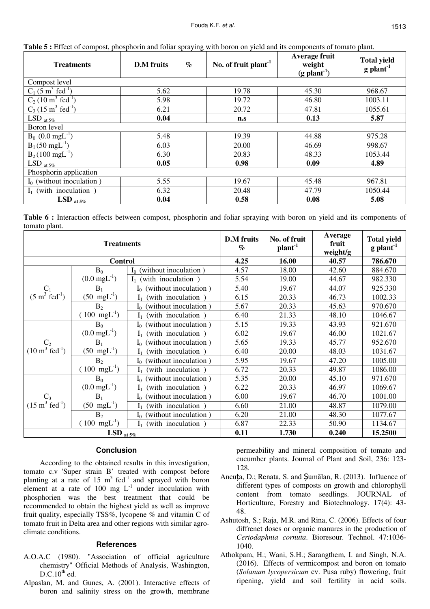| <b>Treatments</b>                            | $\%$<br><b>D.M</b> fruits | No. of fruit plant <sup>-1</sup> | Average fruit<br>weight<br>$(g$ plant <sup>-1</sup> ) | <b>Total yield</b><br>$g$ plant <sup>-1</sup> |  |  |
|----------------------------------------------|---------------------------|----------------------------------|-------------------------------------------------------|-----------------------------------------------|--|--|
| Compost level                                |                           |                                  |                                                       |                                               |  |  |
| $C_1$ (5 m <sup>3</sup> fed <sup>-1</sup> )  | 5.62                      | 19.78                            | 45.30                                                 | 968.67                                        |  |  |
| $C_2$ (10 m <sup>3</sup> fed <sup>-1</sup> ) | 5.98                      | 19.72                            | 46.80                                                 | 1003.11                                       |  |  |
| $C_3$ (15 m <sup>3</sup> fed <sup>-1</sup> ) | 6.21                      | 20.72                            | 47.81                                                 | 1055.61                                       |  |  |
| $LSD$ at 5%                                  | 0.04                      | n.s                              | 0.13                                                  | 5.87                                          |  |  |
| Boron level                                  |                           |                                  |                                                       |                                               |  |  |
| $B_0$ (0.0 mgL <sup>-1</sup> )               | 5.48                      | 19.39                            | 44.88                                                 | 975.28                                        |  |  |
| $B_1$ (50 mgL <sup>-1</sup> )                | 6.03                      | 20.00                            | 46.69                                                 | 998.67                                        |  |  |
| $\overline{B_2(100 \text{ mgL}^{-1})}$       | 6.30                      | 20.83                            | 48.33                                                 | 1053.44                                       |  |  |
| $LSD_{at 5\%}$                               | 0.05                      | 0.98                             | 0.09                                                  | 4.89                                          |  |  |
| Phosphorin application                       |                           |                                  |                                                       |                                               |  |  |
| $I_0$ (without inoculation)                  | 5.55                      | 19.67                            | 45.48                                                 | 967.81                                        |  |  |
| (with inoculation)                           | 6.32                      | 20.48                            | 47.79                                                 | 1050.44                                       |  |  |
| LSD at $5\%$                                 | 0.04                      | 0.58                             | 0.08                                                  | 5.08                                          |  |  |

**Table 5 :** Effect of compost, phosphorin and foliar spraying with boron on yield and its components of tomato plant.

**Table 6 :** Interaction effects between compost, phosphorin and foliar spraying with boron on yield and its components of tomato plant.

| <b>Treatments</b>                               |                          |                                  | <b>D.M</b> fruits<br>$\%$ | No. of fruit<br>plan <sup>1</sup> | Average<br>fruit<br>weight/g | <b>Total yield</b><br>$g$ plant <sup>-1</sup> |
|-------------------------------------------------|--------------------------|----------------------------------|---------------------------|-----------------------------------|------------------------------|-----------------------------------------------|
| <b>Control</b>                                  |                          |                                  | 4.25                      | 16.00                             | 40.57                        | 786.670                                       |
|                                                 | $B_0$                    | (without inoculation)<br>I٥      | 4.57                      | 18.00                             | 42.60                        | 884.670                                       |
|                                                 | $(0.0 \text{ mgL}^{-1})$ | (with inoculation                | 5.54                      | 19.00                             | 44.67                        | 982.330                                       |
| $C_1$                                           | $B_1$                    | without inoculation)             | 5.40                      | 19.67                             | 44.07                        | 925.330                                       |
| $(5 \text{ m}^3 \text{ fed}^{-1})$              | $(50 \text{ mgL}^{-1})$  | with inoculation)<br>I,          | 6.15                      | 20.33                             | 46.73                        | 1002.33                                       |
|                                                 | B <sub>2</sub>           | (without inoculation)<br>$I_0$   | 5.67                      | 20.33                             | 45.63                        | 970.670                                       |
|                                                 | $(100 \text{ mgL}^{-1})$ | with inoculation)                | 6.40                      | 21.33                             | 48.10                        | 1046.67                                       |
|                                                 | $B_0$                    | without inoculation)<br>$I_0$    | 5.15                      | 19.33                             | 43.93                        | 921.670                                       |
|                                                 | $(0.0 \text{ mgL}^{-1})$ | with inoculation)                | 6.02                      | 19.67                             | 46.00                        | 1021.67                                       |
| $C_2$<br>(10 m <sup>3</sup> fed <sup>-1</sup> ) | $B_1$                    | without inoculation)<br>Iο       | 5.65                      | 19.33                             | 45.77                        | 952.670                                       |
|                                                 | $(50 \text{ mgL}^{-1})$  | with inoculation)                | 6.40                      | 20.00                             | 48.03                        | 1031.67                                       |
|                                                 | B <sub>2</sub>           | without inoculation)<br>$I_0$    | 5.95                      | 19.67                             | 47.20                        | 1005.00                                       |
|                                                 | $(100 \text{ mgL}^{-1})$ | with inoculation)<br>${\rm I}_1$ | 6.72                      | 20.33                             | 49.87                        | 1086.00                                       |
| $C_3$<br>$(15 \text{ m}^3 \text{ fed}^{-1})$    | $B_0$                    | (without inoculation)<br>$I_0$   | 5.35                      | 20.00                             | 45.10                        | 971.670                                       |
|                                                 | $(0.0 \text{ mgL}^{-1})$ | with inoculation)                | 6.22                      | 20.33                             | 46.97                        | 1069.67                                       |
|                                                 | $B_1$                    | without inoculation)<br>$I_0$    | 6.00                      | 19.67                             | 46.70                        | 1001.00                                       |
|                                                 | $(50 \text{ mgL}^{-1})$  | with inoculation )               | 6.60                      | 21.00                             | 48.87                        | 1079.00                                       |
|                                                 | $B_2$                    | without inoculation)<br>$I_0$    | 6.20                      | 21.00                             | 48.30                        | 1077.67                                       |
|                                                 | $(100 \text{ mgL}^{-1})$ | (with inoculation)               | 6.87                      | 22.33                             | 50.90                        | 1134.67                                       |
| LSD $_{at.5\%}$                                 |                          |                                  | 0.11                      | 1.730                             | 0.240                        | 15.2500                                       |

## **Conclusion**

According to the obtained results in this investigation, tomato c.v 'Super strain B' treated with compost before planting at a rate of 15  $m^3$  fed<sup>-1</sup> and sprayed with boron element at a rate of 100 mg  $L^{-1}$  under inoculation with phosphorien was the best treatment that could be recommended to obtain the highest yield as well as improve fruit quality, especially TSS%, lycopene % and vitamin C of tomato fruit in Delta area and other regions with similar agroclimate conditions.

# **References**

- A.O.A.C (1980). "Association of official agriculture chemistry" Official Methods of Analysis, Washington,  $D.C.10<sup>th</sup>$ ed.
- Alpaslan, M. and Gunes, A. (2001). Interactive effects of boron and salinity stress on the growth, membrane

permeability and mineral composition of tomato and cucumber plants. Journal of Plant and Soil, 236: 123- 128.

- Ancuța, D.; Renata, S. and Șumălan, R. (2013). Influence of different types of composts on growth and chlorophyll content from tomato seedlings. JOURNAL of Horticulture, Forestry and Biotechnology. 17(4): 43- 48.
- Ashutosh, S.; Raja, M.R. and Rina, C. (2006). Effects of four diffrenet doses or organic manures in the production of *Ceriodaphnia cornuta*. Bioresour. Technol. 47:1036- 1040.
- Athokpam, H.; Wani, S.H.; Sarangthem, I. and Singh, N.A. (2016). Effects of vermicompost and boron on tomato (*Solanum lycopersicum* cv. Pusa ruby) flowering, fruit ripening, yield and soil fertility in acid soils.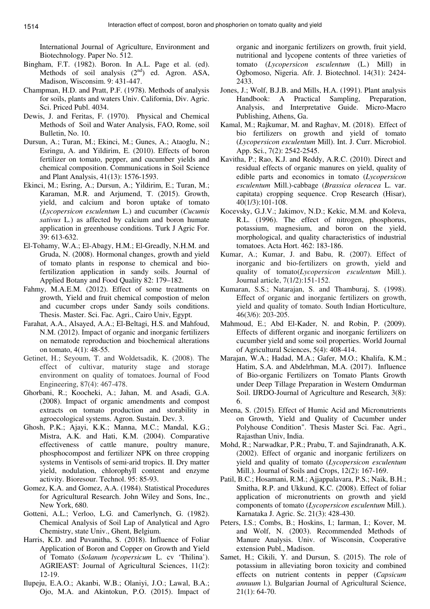International Journal of Agriculture, Environment and Biotechnology. Paper No. 512.

- Bingham, F.T. (1982). Boron. In A.L. Page et al. (ed). Methods of soil analysis  $(2<sup>nd</sup>)$  ed. Agron. ASA, Madison, Wisconsim. 9: 431-447.
- Champman, H.D. and Pratt, P.F. (1978). Methods of analysis for soils, plants and waters Univ. California, Div. Agric. Sci. Priced Publ. 4034.
- Dewis, J. and Feritas, F. (1970). Physical and Chemical Methods of Soil and Water Analysis, FAO, Rome, soil Bulletin, No. 10.
- Dursun, A.; Turan, M.; Ekinci, M.; Gunes, A.; Ataoglu, N.; Esringu, A. and Yildirim, E. (2010). Effects of boron fertilizer on tomato, pepper, and cucumber yields and chemical composition. Communications in Soil Science and Plant Analysis, 41(13): 1576-1593.
- Ekinci, M.; Esring, A.; Dursun, A.; Yildirim, E.; Turan, M.; Karaman, M.R. and Arjumend, T. (2015). Growth, yield, and calcium and boron uptake of tomato (*Lycopersicon esculentum* L.) and cucumber (*Cucumis sativus* L*.*) as affected by calcium and boron humate application in greenhouse conditions. Turk J Agric For. 39: 613-632.
- El-Tohamy, W.A.; El-Abagy, H.M.; El-Greadly, N.H.M. and Gruda, N. (2008). Hormonal changes, growth and yield of tomato plants in response to chemical and biofertilization application in sandy soils. Journal of Applied Botany and Food Quality 82: 179–182.
- Fahmy, M.A.E.M. (2012). Effect of some treatments on growth, Yield and fruit chemical compostion of melon and cucumber crops under Sandy soils conditions. Thesis. Master. Sci. Fac. Agri., Cairo Univ, Egypt.
- Farahat, A.A., Alsayed, A.A.; El-Beltagi, H.S. and Mahfoud, N.M. (2012). Impact of organic and inorganic fertilizers on nematode reproduction and biochemical alterations on tomato, 4(1): 48-55.
- Getinet, H.; Seyoum, T. and Woldetsadik, K. (2008). The effect of cultivar, maturity stage and storage environment on quality of tomatoes. Journal of Food Engineering, 87(4): 467-478.
- Ghorbani, R.; Koocheki, A.; Jahan, M. and Asadi, G.A. (2008). Impact of organic amendments and compost extracts on tomato production and storability in agroecological systems. Agron. Sustain. Dev. 3.
- Ghosh, P.K.; Ajayi, K.K.; Manna, M.C.; Mandal, K.G.; Mistra, A.K. and Hati, K.M. (2004). Comparative effectiveness of cattle manure, poultry manure, phosphocompost and fertilizer NPK on three cropping systems in Ventisols of semi-arid tropics. II. Dry matter yield, nodulation, chlorophyll content and enzyme activity. Bioresour. Technol. 95: 85-93.
- Gomez, K.A. and Gomez, A.A. (1984). Statistical Procedures for Agricultural Research. John Wiley and Sons, Inc., New York, 680.
- Gotteni, A.L.; Verloo, L.G. and Camerlynch, G. (1982). Chemical Analysis of Soil Lap of Analytical and Agro Chemistry, state Univ., Ghent, Belgium.
- Harris, K.D. and Puvanitha, S. (2018). Influence of Foliar Application of Boron and Copper on Growth and Yield of Tomato (*Solanum lycopersicum* L. cv 'Thilina'). AGRIEAST: Journal of Agricultural Sciences, 11(2): 12-19.
- Ilupeju, E.A.O.; Akanbi, W.B.; Olaniyi, J.O.; Lawal, B.A.; Ojo, M.A. and Akintokun, P.O. (2015). Impact of

organic and inorganic fertilizers on growth, fruit yield, nutritional and lycopene contents of three varieties of tomato (*Lycopersicon esculentum* (L.) Mill) in Ogbomoso, Nigeria. Afr. J. Biotechnol. 14(31): 2424- 2433.

- Jones, J.; Wolf, B.J.B. and Mills, H.A. (1991). Plant analysis Handbook: A Practical Sampling, Preparation, Analysis, and Interpretative Guide. Micro-Macro Publishing, Athens, Ga.
- Kamal, M.; Rajkumar, M. and Raghav, M. (2018). Effect of bio fertilizers on growth and yield of tomato (*Lycopersicon esculentum* Mill). Int. J. Curr. Microbiol. App. Sci., 7(2): 2542-2545.
- Kavitha, P.; Rao, K.J. and Reddy, A.R.C. (2010). Direct and residual effects of organic manures on yield, quality of edible parts and economics in tomato (*Lycopersicon esculentum* Mill.)-cabbage (*Brassica oleracea* L. var. capitata) cropping sequence. Crop Research (Hisar), 40(1/3):101-108.
- Kocevsky, G.J.V.; Jakimov, N.D.; Kekic, M.M. and Koleva, R.L. (1996). The effect of nitrogen, phosphorus, potassium, magnesium, and boron on the yield, morphological, and quality characteristics of industrial tomatoes. Acta Hort. 462: 183-186.
- Kumar, A.; Kumar, J. and Babu, R. (2007). Effect of inorganic and bio-fertilizers on growth, yield and quality of tomato(*Lycopersicon esculentum* Mill.). Journal article, 7(1/2):151-152.
- Kumaran, S.S.; Natarajan, S. and Thamburaj, S. (1998). Effect of organic and inorganic fertilizers on growth, yield and quality of tomato. South Indian Horticulture, 46(3/6): 203-205.
- Mahmoud, E.; Abd El-Kader, N. and Robin, P. (2009). Effects of different organic and inorganic fertilizers on cucumber yield and some soil properties. World Journal of Agricultural Sciences, 5(4): 408-414.
- Marajan, W.A.; Hadad, M.A.; Gafer, M.O.; Khalifa, K.M.; Hatim, S.A. and Abdelrhman, M.A. (2017). Influence of Bio-organic Fertilizers on Tomato Plants Growth under Deep Tillage Preparation in Western Omdurman Soil. IJRDO-Journal of Agriculture and Research, 3(8): 6.
- Meena, S. (2015). Effect of Humic Acid and Micronutrients on Growth, Yield and Quality of Cucumber under Polyhouse Condition". Thesis Master Sci. Fac. Agri., Rajasthan Univ, India.
- Mohd, R.; Narwadkar, P.R.; Prabu, T. and Sajindranath, A.K. (2002). Effect of organic and inorganic fertilizers on yield and quality of tomato (*Lycopersicon esculentum* Mill.). Journal of Soils and Crops, 12(2): 167-169.
- Patil, B.C.; Hosamani, R.M.; Ajjappalavara, P.S.; Naik, B.H.; Smitha, R.P. and Ukkund, K.C. (2008). Effect of foliar application of micronutrients on growth and yield components of tomato (*Lycopersicon esculentum* Mill.). Karnataka J. Agric. Sc. 21(3): 428-430.
- Peters, I.S.; Combs, B.; Hoskins, I.; Iarman, I.; Kover, M. and Wolf, N. (2003). Recommended Methods of Manure Analysis. Univ. of Wisconsin, Cooperative extension Publ., Madison.
- Samet, H.; Cikili, Y. and Dursun, S. (2015). The role of potassium in alleviating boron toxicity and combined effects on nutrient contents in pepper (*Capsicum annuum* l.). Bulgarian Journal of Agricultural Science, 21(1): 64-70.